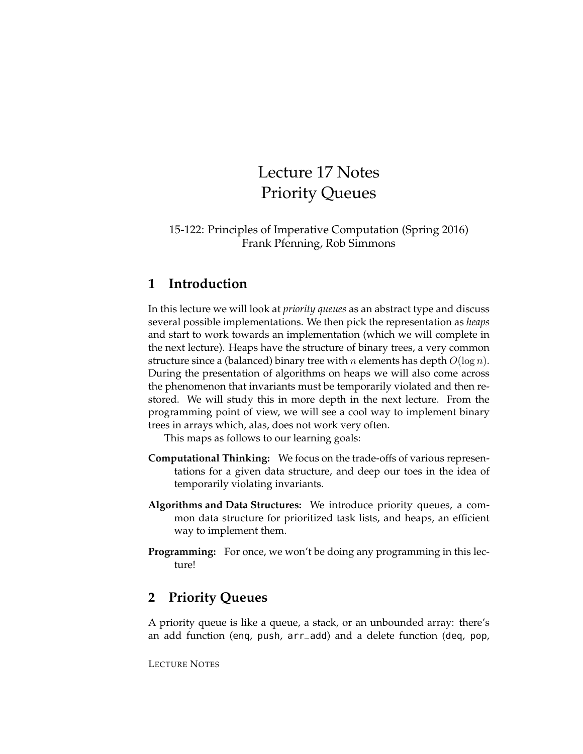# Lecture 17 Notes Priority Queues

#### 15-122: Principles of Imperative Computation (Spring 2016) Frank Pfenning, Rob Simmons

# **1 Introduction**

In this lecture we will look at *priority queues* as an abstract type and discuss several possible implementations. We then pick the representation as *heaps* and start to work towards an implementation (which we will complete in the next lecture). Heaps have the structure of binary trees, a very common structure since a (balanced) binary tree with *n* elements has depth  $O(\log n)$ . During the presentation of algorithms on heaps we will also come across the phenomenon that invariants must be temporarily violated and then restored. We will study this in more depth in the next lecture. From the programming point of view, we will see a cool way to implement binary trees in arrays which, alas, does not work very often.

This maps as follows to our learning goals:

- **Computational Thinking:** We focus on the trade-offs of various representations for a given data structure, and deep our toes in the idea of temporarily violating invariants.
- **Algorithms and Data Structures:** We introduce priority queues, a common data structure for prioritized task lists, and heaps, an efficient way to implement them.
- **Programming:** For once, we won't be doing any programming in this lecture!

# **2 Priority Queues**

A priority queue is like a queue, a stack, or an unbounded array: there's an add function (enq, push, arr\_add) and a delete function (deq, pop,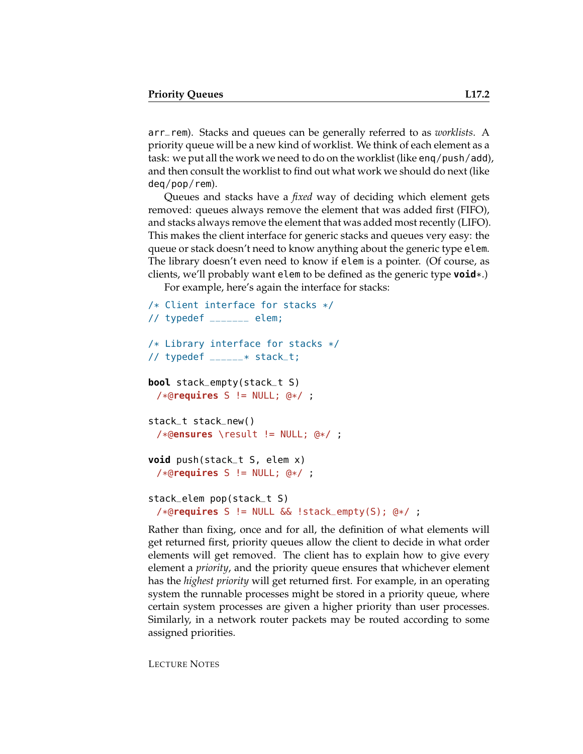arr\_rem). Stacks and queues can be generally referred to as *worklists*. A priority queue will be a new kind of worklist. We think of each element as a task: we put all the work we need to do on the worklist (like enq/push/add), and then consult the worklist to find out what work we should do next (like deq/pop/rem).

Queues and stacks have a *fixed* way of deciding which element gets removed: queues always remove the element that was added first (FIFO), and stacks always remove the element that was added most recently (LIFO). This makes the client interface for generic stacks and queues very easy: the queue or stack doesn't need to know anything about the generic type elem. The library doesn't even need to know if elem is a pointer. (Of course, as clients, we'll probably want elem to be defined as the generic type **void**\*.)

For example, here's again the interface for stacks:

```
/* Client interface for stacks */
// typedef _{-----} elem;
/* Library interface for stacks */
// typedef ______* stack_t;
bool stack_empty(stack_t S)
 /*@requires S != NULL; @*/ ;
stack_t stack_new()
 /*@ensures \result != NULL; @*/ ;
void push(stack_t S, elem x)
 /*@requires S != NULL; @*/ ;
stack_elem pop(stack_t S)
 /*@requires S != NULL && !stack_empty(S); @*/ ;
```
Rather than fixing, once and for all, the definition of what elements will get returned first, priority queues allow the client to decide in what order elements will get removed. The client has to explain how to give every element a *priority*, and the priority queue ensures that whichever element has the *highest priority* will get returned first. For example, in an operating system the runnable processes might be stored in a priority queue, where certain system processes are given a higher priority than user processes. Similarly, in a network router packets may be routed according to some assigned priorities.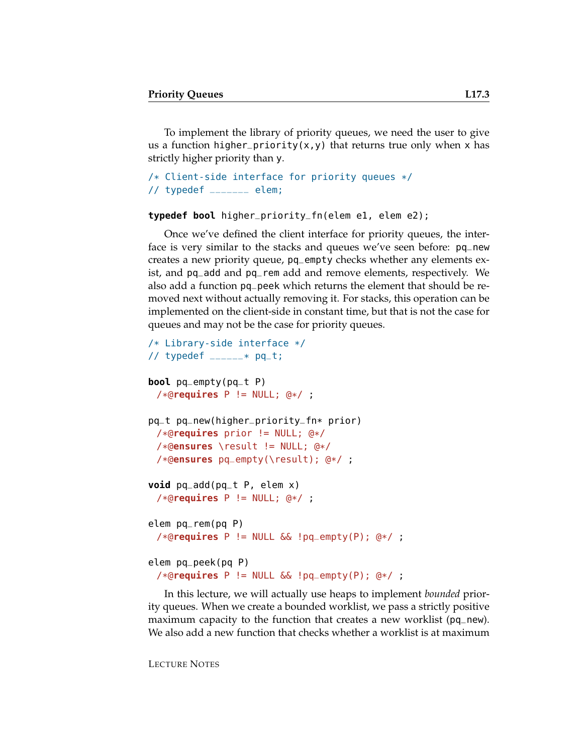To implement the library of priority queues, we need the user to give us a function higher\_priority(x,y) that returns true only when x has strictly higher priority than y.

```
/* Client-side interface for priority queues */
// typedef \sqrt{2} elem;
```
#### **typedef bool** higher\_priority\_fn(elem e1, elem e2);

Once we've defined the client interface for priority queues, the interface is very similar to the stacks and queues we've seen before: pq\_new creates a new priority queue, pq\_empty checks whether any elements exist, and pq\_add and pq\_rem add and remove elements, respectively. We also add a function pq\_peek which returns the element that should be removed next without actually removing it. For stacks, this operation can be implemented on the client-side in constant time, but that is not the case for queues and may not be the case for priority queues.

```
/* Library-side interface */
// typedef ---* pq_t;
bool pq_empty(pq_t P)
 /*@requires P != NULL; @*/ ;
pq_t pq_new(higher_priority_fn* prior)
 /*@requires prior != NULL; @*/
 /*@ensures \result != NULL; @*/
 /*@ensures pq_empty(\result); @*/ ;
void pq_add(pq_t P, elem x)
 /*@requires P != NULL; @*/ ;
elem pq_rem(pq P)
 /*@requires P != NULL && !pq_empty(P); @*/ ;
elem pq_peek(pq P)
 /*@requires P != NULL && !pq_empty(P); @*/ ;
```
In this lecture, we will actually use heaps to implement *bounded* priority queues. When we create a bounded worklist, we pass a strictly positive maximum capacity to the function that creates a new worklist (pq\_new). We also add a new function that checks whether a worklist is at maximum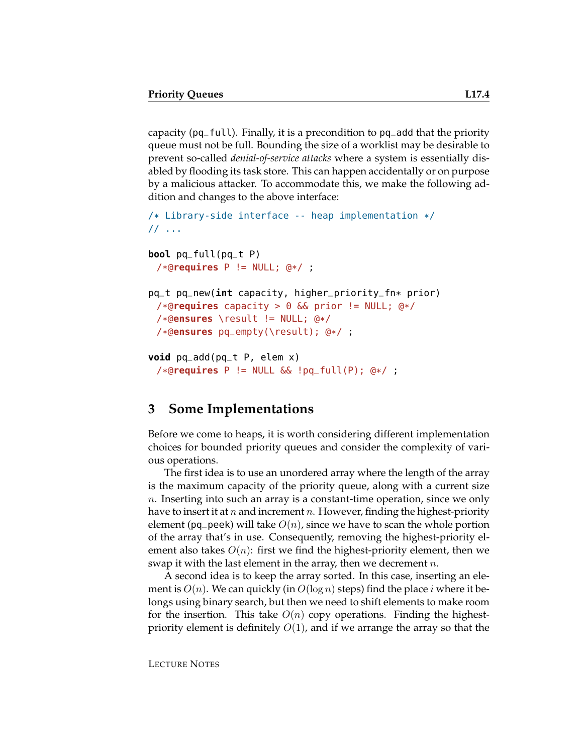capacity (pq\_full). Finally, it is a precondition to pq\_add that the priority queue must not be full. Bounding the size of a worklist may be desirable to prevent so-called *denial-of-service attacks* where a system is essentially disabled by flooding its task store. This can happen accidentally or on purpose by a malicious attacker. To accommodate this, we make the following addition and changes to the above interface:

```
/* Library-side interface -- heap implementation */
// ...
bool pq_full(pq_t P)
 /*@requires P != NULL; @*/ ;
```

```
pq_t pq_new(int capacity, higher_priority_fn* prior)
 /*@requires capacity > 0 && prior != NULL; @*/
 /*@ensures \result != NULL; @*/
 /*@ensures pq_empty(\result); @*/ ;
```

```
void pq_add(pq_t P, elem x)
 /*@requires P != NULL && !pq_full(P); @*/ ;
```
# **3 Some Implementations**

Before we come to heaps, it is worth considering different implementation choices for bounded priority queues and consider the complexity of various operations.

The first idea is to use an unordered array where the length of the array is the maximum capacity of the priority queue, along with a current size n. Inserting into such an array is a constant-time operation, since we only have to insert it at n and increment n. However, finding the highest-priority element (pq peek) will take  $O(n)$ , since we have to scan the whole portion of the array that's in use. Consequently, removing the highest-priority element also takes  $O(n)$ : first we find the highest-priority element, then we swap it with the last element in the array, then we decrement  $n$ .

A second idea is to keep the array sorted. In this case, inserting an element is  $O(n)$ . We can quickly (in  $O(\log n)$  steps) find the place i where it belongs using binary search, but then we need to shift elements to make room for the insertion. This take  $O(n)$  copy operations. Finding the highestpriority element is definitely  $O(1)$ , and if we arrange the array so that the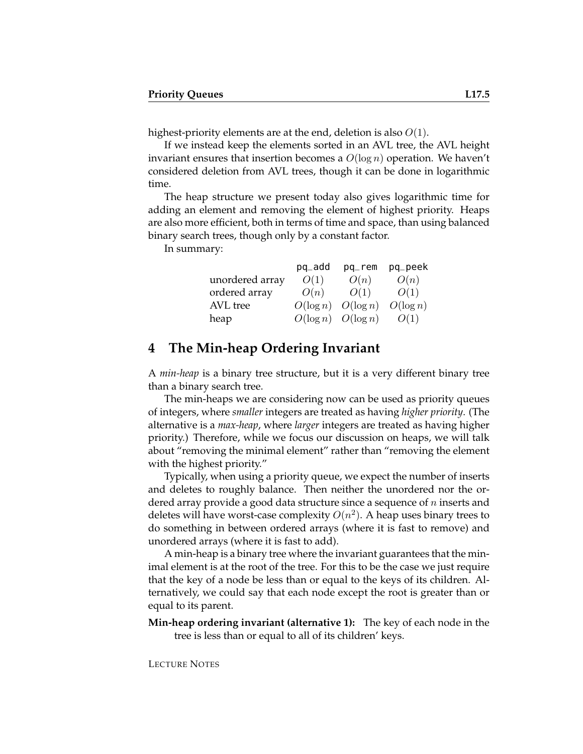highest-priority elements are at the end, deletion is also  $O(1)$ .

If we instead keep the elements sorted in an AVL tree, the AVL height invariant ensures that insertion becomes a  $O(\log n)$  operation. We haven't considered deletion from AVL trees, though it can be done in logarithmic time.

The heap structure we present today also gives logarithmic time for adding an element and removing the element of highest priority. Heaps are also more efficient, both in terms of time and space, than using balanced binary search trees, though only by a constant factor.

In summary:

|                 | pq_add                  | $pq$ <sub>-rem</sub> | pq_peek     |
|-----------------|-------------------------|----------------------|-------------|
| unordered array | O(1)                    | O(n)                 | O(n)        |
| ordered array   | O(n)                    | O(1)                 | O(1)        |
| AVL tree        | $O(\log n)$ $O(\log n)$ |                      | $O(\log n)$ |
| heap            | $O(\log n)$ $O(\log n)$ |                      | O(1)        |

### **4 The Min-heap Ordering Invariant**

A *min-heap* is a binary tree structure, but it is a very different binary tree than a binary search tree.

The min-heaps we are considering now can be used as priority queues of integers, where *smaller* integers are treated as having *higher priority*. (The alternative is a *max-heap*, where *larger* integers are treated as having higher priority.) Therefore, while we focus our discussion on heaps, we will talk about "removing the minimal element" rather than "removing the element with the highest priority."

Typically, when using a priority queue, we expect the number of inserts and deletes to roughly balance. Then neither the unordered nor the ordered array provide a good data structure since a sequence of  $n$  inserts and deletes will have worst-case complexity  $O(n^2)$ . A heap uses binary trees to do something in between ordered arrays (where it is fast to remove) and unordered arrays (where it is fast to add).

A min-heap is a binary tree where the invariant guarantees that the minimal element is at the root of the tree. For this to be the case we just require that the key of a node be less than or equal to the keys of its children. Alternatively, we could say that each node except the root is greater than or equal to its parent.

**Min-heap ordering invariant (alternative 1):** The key of each node in the tree is less than or equal to all of its children' keys.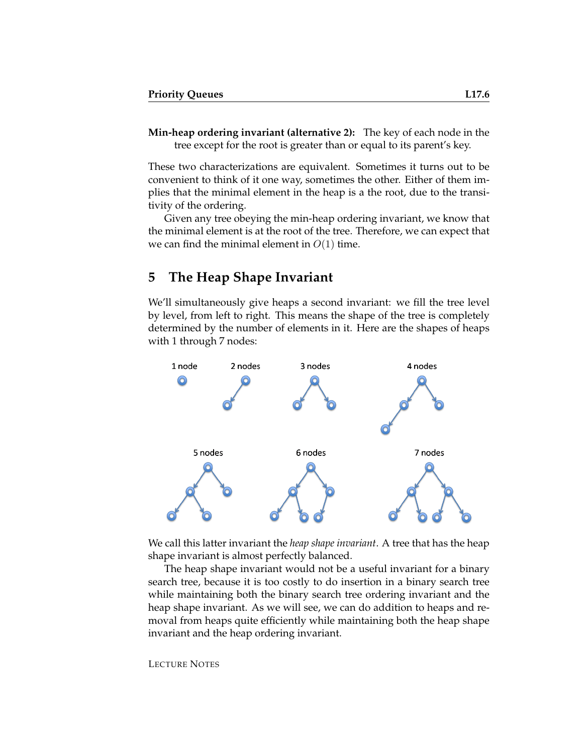**Min-heap ordering invariant (alternative 2):** The key of each node in the tree except for the root is greater than or equal to its parent's key.

These two characterizations are equivalent. Sometimes it turns out to be convenient to think of it one way, sometimes the other. Either of them implies that the minimal element in the heap is a the root, due to the transitivity of the ordering.

Given any tree obeying the min-heap ordering invariant, we know that the minimal element is at the root of the tree. Therefore, we can expect that we can find the minimal element in  $O(1)$  time.

### **5 The Heap Shape Invariant**

We'll simultaneously give heaps a second invariant: we fill the tree level by level, from left to right. This means the shape of the tree is completely determined by the number of elements in it. Here are the shapes of heaps with 1 through 7 nodes:



We call this latter invariant the *heap shape invariant*. A tree that has the heap shape invariant is almost perfectly balanced.

The heap shape invariant would not be a useful invariant for a binary search tree, because it is too costly to do insertion in a binary search tree while maintaining both the binary search tree ordering invariant and the heap shape invariant. As we will see, we can do addition to heaps and removal from heaps quite efficiently while maintaining both the heap shape invariant and the heap ordering invariant.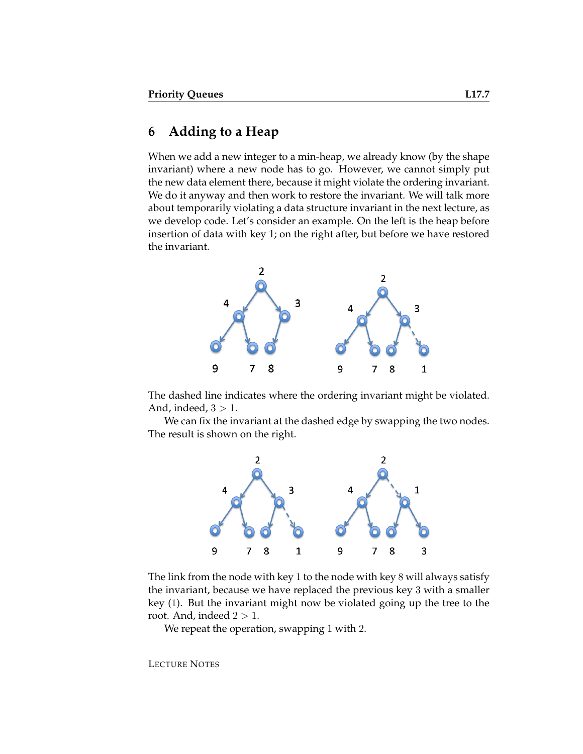#### **6 Adding to a Heap**

When we add a new integer to a min-heap, we already know (by the shape invariant) where a new node has to go. However, we cannot simply put the new data element there, because it might violate the ordering invariant. We do it anyway and then work to restore the invariant. We will talk more about temporarily violating a data structure invariant in the next lecture, as we develop code. Let's consider an example. On the left is the heap before insertion of data with key 1; on the right after, but before we have restored the invariant.



The dashed line indicates where the ordering invariant might be violated. And, indeed,  $3 > 1$ .

We can fix the invariant at the dashed edge by swapping the two nodes. The result is shown on the right.



The link from the node with key 1 to the node with key 8 will always satisfy the invariant, because we have replaced the previous key 3 with a smaller key (1). But the invariant might now be violated going up the tree to the root. And, indeed  $2 > 1$ .

We repeat the operation, swapping 1 with 2.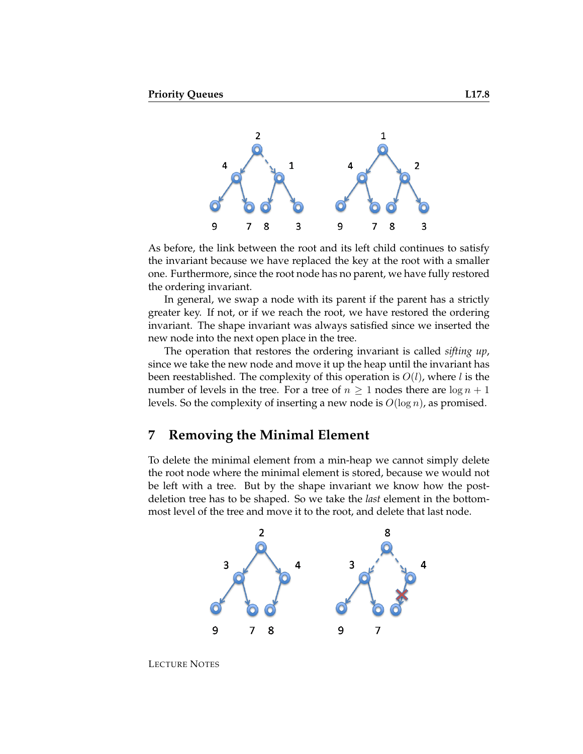

As before, the link between the root and its left child continues to satisfy the invariant because we have replaced the key at the root with a smaller one. Furthermore, since the root node has no parent, we have fully restored the ordering invariant.

In general, we swap a node with its parent if the parent has a strictly greater key. If not, or if we reach the root, we have restored the ordering invariant. The shape invariant was always satisfied since we inserted the new node into the next open place in the tree.

The operation that restores the ordering invariant is called *sifting up*, since we take the new node and move it up the heap until the invariant has been reestablished. The complexity of this operation is  $O(l)$ , where l is the number of levels in the tree. For a tree of  $n \geq 1$  nodes there are  $\log n + 1$ levels. So the complexity of inserting a new node is  $O(\log n)$ , as promised.

#### **7 Removing the Minimal Element**

To delete the minimal element from a min-heap we cannot simply delete the root node where the minimal element is stored, because we would not be left with a tree. But by the shape invariant we know how the postdeletion tree has to be shaped. So we take the *last* element in the bottommost level of the tree and move it to the root, and delete that last node.



LECTURE NOTES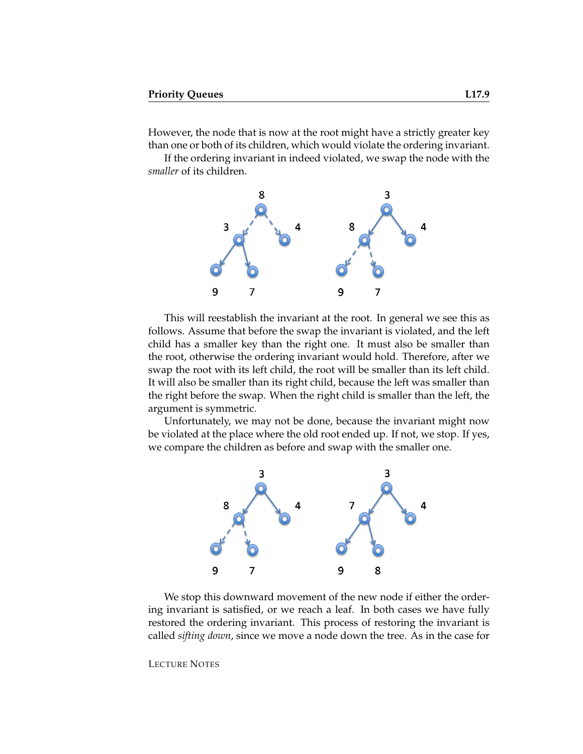However, the node that is now at the root might have a strictly greater key than one or both of its children, which would violate the ordering invariant.

If the ordering invariant in indeed violated, we swap the node with the *smaller* of its children.



This will reestablish the invariant at the root. In general we see this as follows. Assume that before the swap the invariant is violated, and the left child has a smaller key than the right one. It must also be smaller than the root, otherwise the ordering invariant would hold. Therefore, after we swap the root with its left child, the root will be smaller than its left child. It will also be smaller than its right child, because the left was smaller than the right before the swap. When the right child is smaller than the left, the argument is symmetric.

Unfortunately, we may not be done, because the invariant might now be violated at the place where the old root ended up. If not, we stop. If yes, we compare the children as before and swap with the smaller one.



We stop this downward movement of the new node if either the ordering invariant is satisfied, or we reach a leaf. In both cases we have fully restored the ordering invariant. This process of restoring the invariant is called *sifting down*, since we move a node down the tree. As in the case for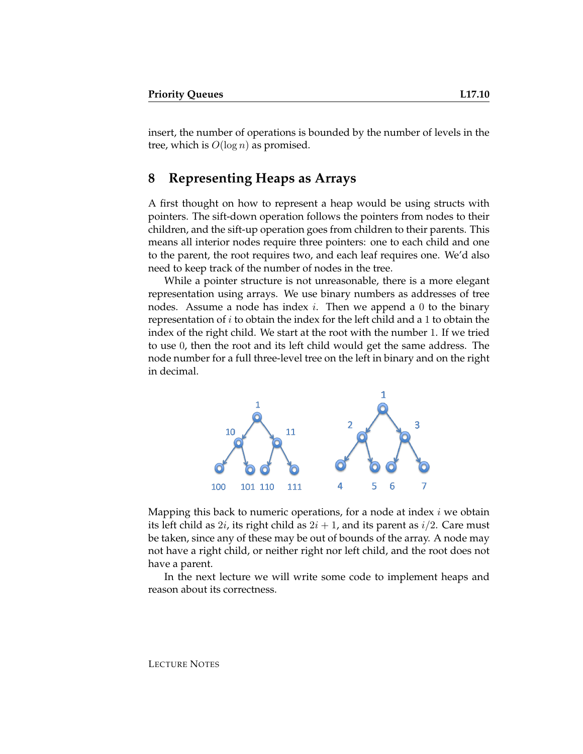insert, the number of operations is bounded by the number of levels in the tree, which is  $O(\log n)$  as promised.

### **8 Representing Heaps as Arrays**

A first thought on how to represent a heap would be using structs with pointers. The sift-down operation follows the pointers from nodes to their children, and the sift-up operation goes from children to their parents. This means all interior nodes require three pointers: one to each child and one to the parent, the root requires two, and each leaf requires one. We'd also need to keep track of the number of nodes in the tree.

While a pointer structure is not unreasonable, there is a more elegant representation using arrays. We use binary numbers as addresses of tree nodes. Assume a node has index  $i$ . Then we append a 0 to the binary representation of  $i$  to obtain the index for the left child and a 1 to obtain the index of the right child. We start at the root with the number 1. If we tried to use 0, then the root and its left child would get the same address. The node number for a full three-level tree on the left in binary and on the right in decimal.



Mapping this back to numeric operations, for a node at index  $i$  we obtain its left child as  $2i$ , its right child as  $2i + 1$ , and its parent as  $i/2$ . Care must be taken, since any of these may be out of bounds of the array. A node may not have a right child, or neither right nor left child, and the root does not have a parent.

In the next lecture we will write some code to implement heaps and reason about its correctness.